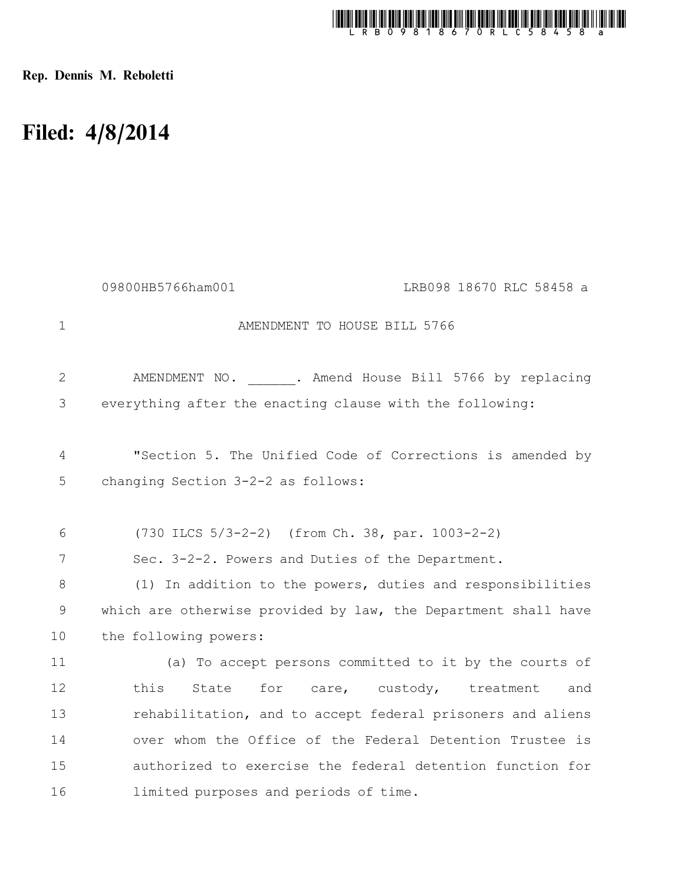

Rep. Dennis M. Reboletti

## Filed: 4/8/2014

|             | 09800HB5766ham001<br>LRB098 18670 RLC 58458 a                  |
|-------------|----------------------------------------------------------------|
| $\mathbf 1$ | AMENDMENT TO HOUSE BILL 5766                                   |
| 2           | AMENDMENT NO. . Amend House Bill 5766 by replacing             |
| 3           | everything after the enacting clause with the following:       |
| 4           | "Section 5. The Unified Code of Corrections is amended by      |
| 5           | changing Section 3-2-2 as follows:                             |
| 6           | $(730$ ILCS $5/3-2-2)$ (from Ch. 38, par. 1003-2-2)            |
| 7           | Sec. 3-2-2. Powers and Duties of the Department.               |
| 8           | (1) In addition to the powers, duties and responsibilities     |
| 9           | which are otherwise provided by law, the Department shall have |
| 10          | the following powers:                                          |
| 11          | (a) To accept persons committed to it by the courts of         |
| 12          | State<br>for<br>this<br>care, custody, treatment<br>and        |
| 13          | rehabilitation, and to accept federal prisoners and aliens     |
| 14          | over whom the Office of the Federal Detention Trustee is       |
| 15          | authorized to exercise the federal detention function for      |
| 16          | limited purposes and periods of time.                          |
|             |                                                                |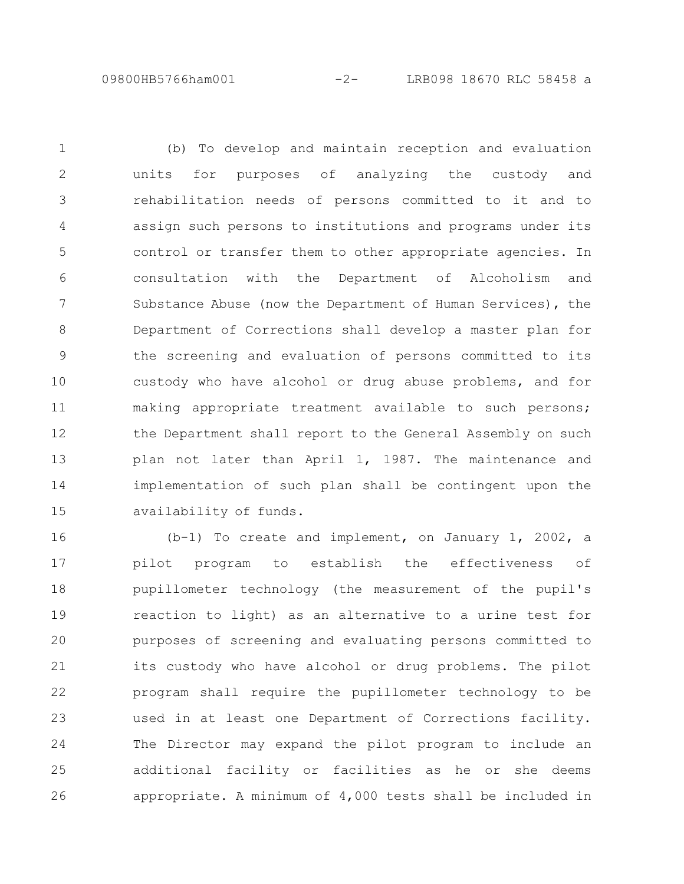09800HB5766ham001 -2- LRB098 18670 RLC 58458 a

(b) To develop and maintain reception and evaluation units for purposes of analyzing the custody and rehabilitation needs of persons committed to it and to assign such persons to institutions and programs under its control or transfer them to other appropriate agencies. In consultation with the Department of Alcoholism and Substance Abuse (now the Department of Human Services), the Department of Corrections shall develop a master plan for the screening and evaluation of persons committed to its custody who have alcohol or drug abuse problems, and for making appropriate treatment available to such persons; the Department shall report to the General Assembly on such plan not later than April 1, 1987. The maintenance and implementation of such plan shall be contingent upon the availability of funds. 1 2 3 4 5 6 7 8 9 10 11 12 13 14 15

(b-1) To create and implement, on January 1, 2002, a pilot program to establish the effectiveness of pupillometer technology (the measurement of the pupil's reaction to light) as an alternative to a urine test for purposes of screening and evaluating persons committed to its custody who have alcohol or drug problems. The pilot program shall require the pupillometer technology to be used in at least one Department of Corrections facility. The Director may expand the pilot program to include an additional facility or facilities as he or she deems appropriate. A minimum of 4,000 tests shall be included in 16 17 18 19 20 21 22 23 24 25 26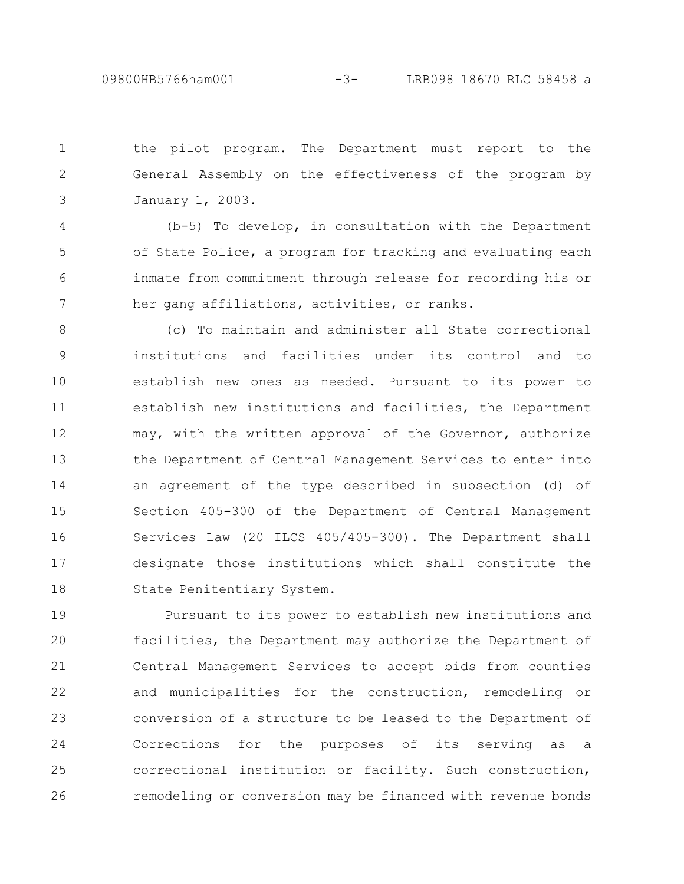the pilot program. The Department must report to the General Assembly on the effectiveness of the program by January 1, 2003. 1 2 3

(b-5) To develop, in consultation with the Department of State Police, a program for tracking and evaluating each inmate from commitment through release for recording his or her gang affiliations, activities, or ranks. 4 5 6 7

(c) To maintain and administer all State correctional institutions and facilities under its control and to establish new ones as needed. Pursuant to its power to establish new institutions and facilities, the Department may, with the written approval of the Governor, authorize the Department of Central Management Services to enter into an agreement of the type described in subsection (d) of Section 405-300 of the Department of Central Management Services Law (20 ILCS 405/405-300). The Department shall designate those institutions which shall constitute the State Penitentiary System. 8 9 10 11 12 13 14 15 16 17 18

Pursuant to its power to establish new institutions and facilities, the Department may authorize the Department of Central Management Services to accept bids from counties and municipalities for the construction, remodeling or conversion of a structure to be leased to the Department of Corrections for the purposes of its serving as a correctional institution or facility. Such construction, remodeling or conversion may be financed with revenue bonds 19 20 21 22 23 24 25 26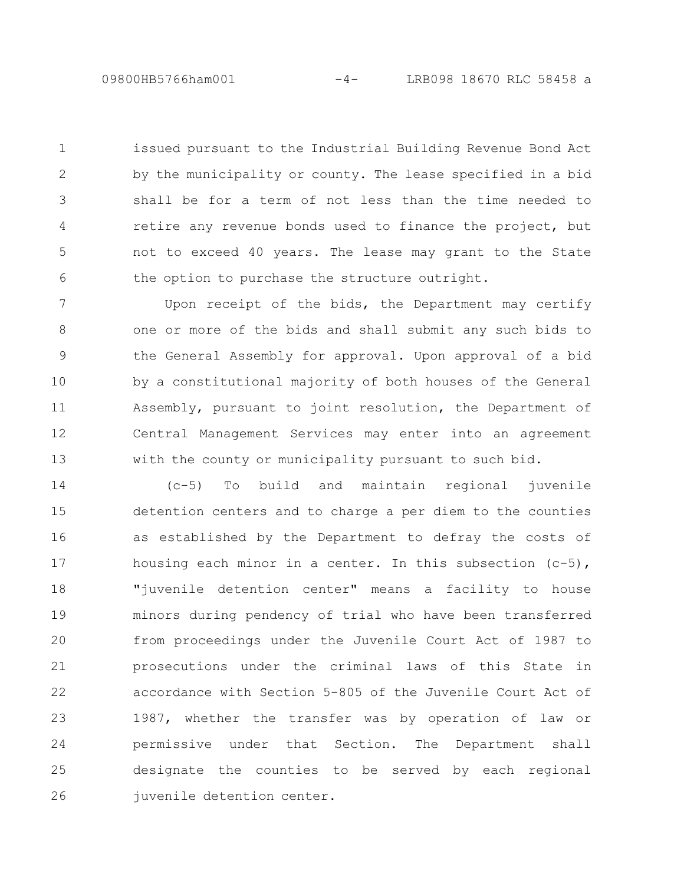09800HB5766ham001 -4- LRB098 18670 RLC 58458 a

issued pursuant to the Industrial Building Revenue Bond Act by the municipality or county. The lease specified in a bid shall be for a term of not less than the time needed to retire any revenue bonds used to finance the project, but not to exceed 40 years. The lease may grant to the State the option to purchase the structure outright. 1 2 3 4 5 6

Upon receipt of the bids, the Department may certify one or more of the bids and shall submit any such bids to the General Assembly for approval. Upon approval of a bid by a constitutional majority of both houses of the General Assembly, pursuant to joint resolution, the Department of Central Management Services may enter into an agreement with the county or municipality pursuant to such bid. 7 8 9 10 11 12 13

(c-5) To build and maintain regional juvenile detention centers and to charge a per diem to the counties as established by the Department to defray the costs of housing each minor in a center. In this subsection  $(c-5)$ , "juvenile detention center" means a facility to house minors during pendency of trial who have been transferred from proceedings under the Juvenile Court Act of 1987 to prosecutions under the criminal laws of this State in accordance with Section 5-805 of the Juvenile Court Act of 1987, whether the transfer was by operation of law or permissive under that Section. The Department shall designate the counties to be served by each regional juvenile detention center. 14 15 16 17 18 19 20 21 22 23 24 25 26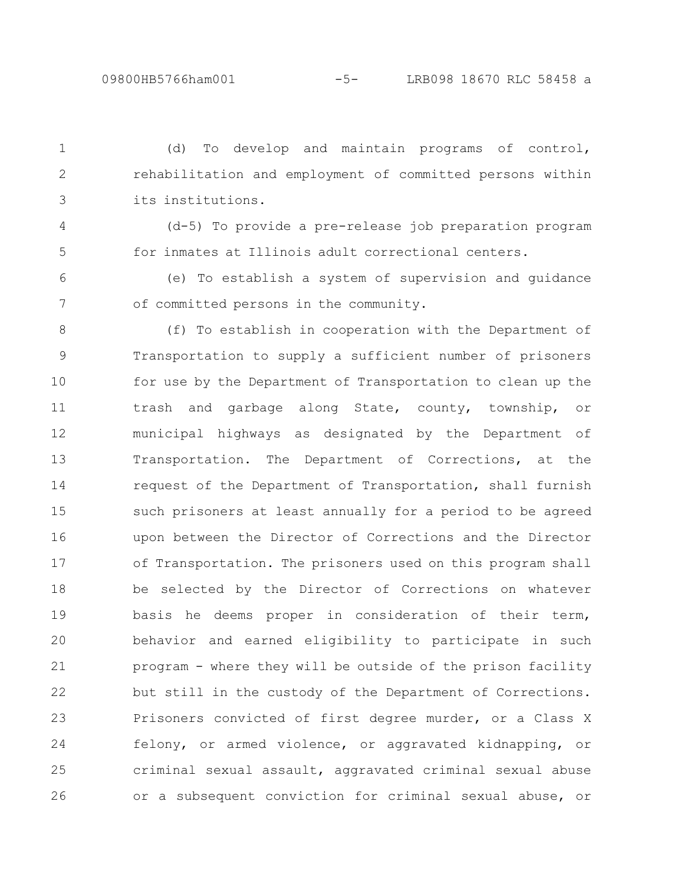4

(d) To develop and maintain programs of control, rehabilitation and employment of committed persons within its institutions. 1 2 3

(d-5) To provide a pre-release job preparation program for inmates at Illinois adult correctional centers. 5

(e) To establish a system of supervision and guidance of committed persons in the community. 6 7

(f) To establish in cooperation with the Department of Transportation to supply a sufficient number of prisoners for use by the Department of Transportation to clean up the trash and garbage along State, county, township, or municipal highways as designated by the Department of Transportation. The Department of Corrections, at the request of the Department of Transportation, shall furnish such prisoners at least annually for a period to be agreed upon between the Director of Corrections and the Director of Transportation. The prisoners used on this program shall be selected by the Director of Corrections on whatever basis he deems proper in consideration of their term, behavior and earned eligibility to participate in such program - where they will be outside of the prison facility but still in the custody of the Department of Corrections. Prisoners convicted of first degree murder, or a Class X felony, or armed violence, or aggravated kidnapping, or criminal sexual assault, aggravated criminal sexual abuse or a subsequent conviction for criminal sexual abuse, or 8 9 10 11 12 13 14 15 16 17 18 19 20 21 22 23 24 25 26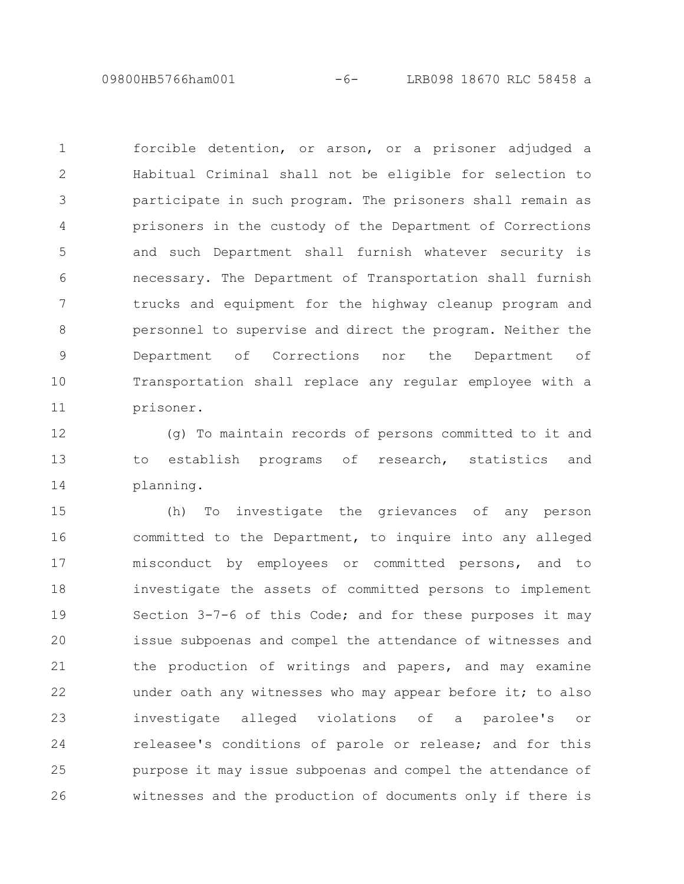09800HB5766ham001 -6- LRB098 18670 RLC 58458 a

forcible detention, or arson, or a prisoner adjudged a Habitual Criminal shall not be eligible for selection to participate in such program. The prisoners shall remain as prisoners in the custody of the Department of Corrections and such Department shall furnish whatever security is necessary. The Department of Transportation shall furnish trucks and equipment for the highway cleanup program and personnel to supervise and direct the program. Neither the Department of Corrections nor the Department of Transportation shall replace any regular employee with a prisoner. 1 2 3 4 5 6 7 8 9 10 11

(g) To maintain records of persons committed to it and to establish programs of research, statistics and planning. 12 13 14

(h) To investigate the grievances of any person committed to the Department, to inquire into any alleged misconduct by employees or committed persons, and to investigate the assets of committed persons to implement Section 3-7-6 of this Code; and for these purposes it may issue subpoenas and compel the attendance of witnesses and the production of writings and papers, and may examine under oath any witnesses who may appear before it; to also investigate alleged violations of a parolee's or releasee's conditions of parole or release; and for this purpose it may issue subpoenas and compel the attendance of witnesses and the production of documents only if there is 15 16 17 18 19 20 21 22 23 24 25 26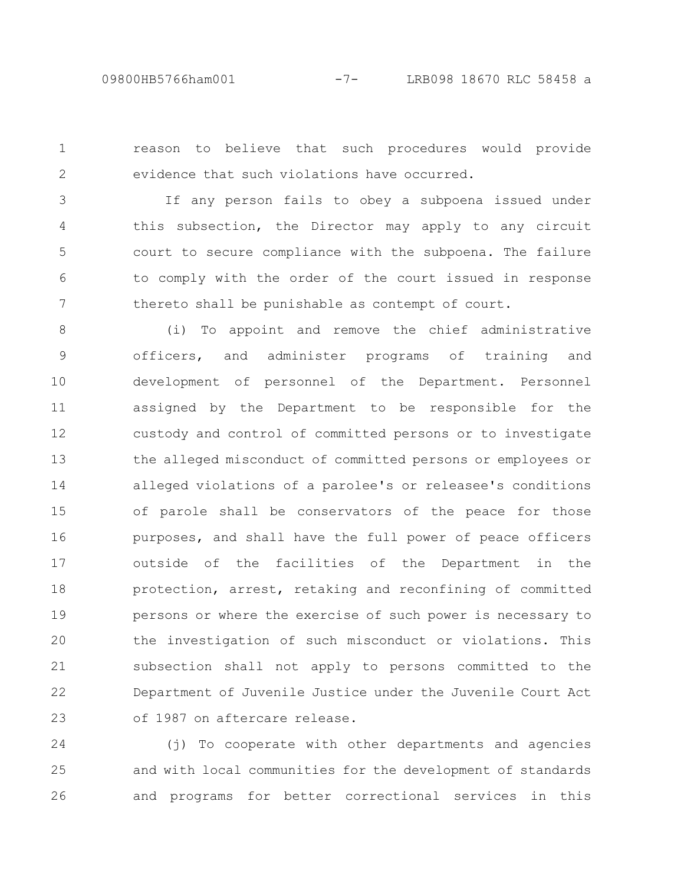reason to believe that such procedures would provide evidence that such violations have occurred. 1 2

If any person fails to obey a subpoena issued under this subsection, the Director may apply to any circuit court to secure compliance with the subpoena. The failure to comply with the order of the court issued in response thereto shall be punishable as contempt of court. 3 4 5 6 7

(i) To appoint and remove the chief administrative officers, and administer programs of training and development of personnel of the Department. Personnel assigned by the Department to be responsible for the custody and control of committed persons or to investigate the alleged misconduct of committed persons or employees or alleged violations of a parolee's or releasee's conditions of parole shall be conservators of the peace for those purposes, and shall have the full power of peace officers outside of the facilities of the Department in the protection, arrest, retaking and reconfining of committed persons or where the exercise of such power is necessary to the investigation of such misconduct or violations. This subsection shall not apply to persons committed to the Department of Juvenile Justice under the Juvenile Court Act of 1987 on aftercare release. 8 9 10 11 12 13 14 15 16 17 18 19 20 21 22 23

(j) To cooperate with other departments and agencies and with local communities for the development of standards and programs for better correctional services in this 24 25 26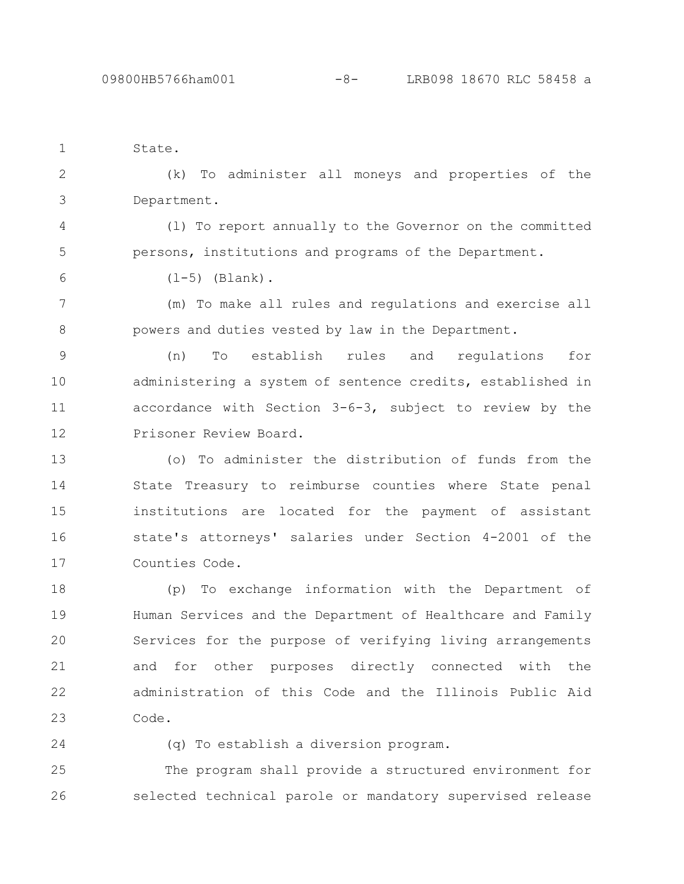properties of the

| State.                           |  |
|----------------------------------|--|
| (k) To administer all moneys and |  |
| Department.                      |  |

(l) To report annually to the Governor on the committed persons, institutions and programs of the Department. 4 5

 $(1-5)$  (Blank).

(m) To make all rules and regulations and exercise all powers and duties vested by law in the Department. 7 8

(n) To establish rules and regulations for administering a system of sentence credits, established in accordance with Section 3-6-3, subject to review by the Prisoner Review Board. 9 10 11 12

(o) To administer the distribution of funds from the State Treasury to reimburse counties where State penal institutions are located for the payment of assistant state's attorneys' salaries under Section 4-2001 of the Counties Code. 13 14 15 16 17

(p) To exchange information with the Department of Human Services and the Department of Healthcare and Family Services for the purpose of verifying living arrangements and for other purposes directly connected with the administration of this Code and the Illinois Public Aid Code. 18 19 20 21 22 23

24

6

(q) To establish a diversion program.

The program shall provide a structured environment for selected technical parole or mandatory supervised release 25 26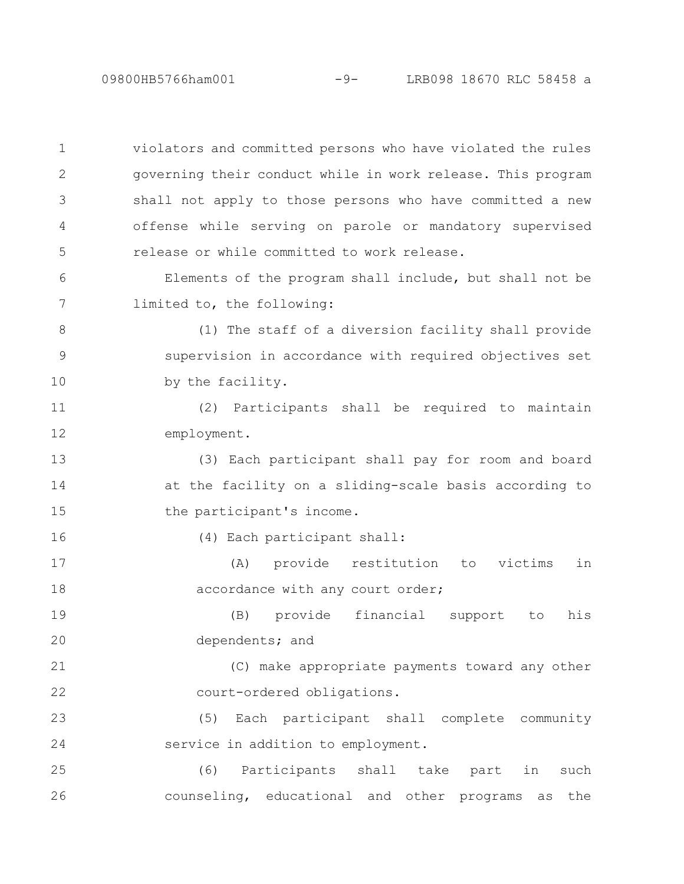09800HB5766ham001 -9- LRB098 18670 RLC 58458 a

violators and committed persons who have violated the rules governing their conduct while in work release. This program shall not apply to those persons who have committed a new offense while serving on parole or mandatory supervised release or while committed to work release. 1 2 3 4 5

Elements of the program shall include, but shall not be limited to, the following: 6 7

(1) The staff of a diversion facility shall provide supervision in accordance with required objectives set by the facility. 8 9 10

(2) Participants shall be required to maintain employment. 11 12

(3) Each participant shall pay for room and board at the facility on a sliding-scale basis according to the participant's income. 13 14 15

(4) Each participant shall:

16

(A) provide restitution to victims in accordance with any court order; 17 18

(B) provide financial support to his dependents; and 19 20

(C) make appropriate payments toward any other court-ordered obligations. 21 22

(5) Each participant shall complete community service in addition to employment. 23 24

(6) Participants shall take part in such counseling, educational and other programs as the 25 26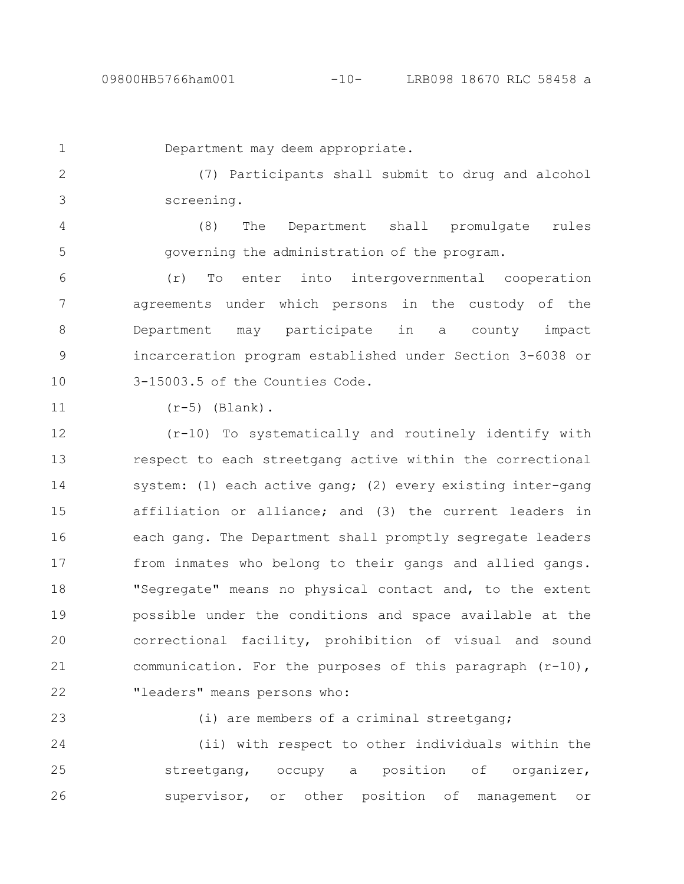1

Department may deem appropriate.

(7) Participants shall submit to drug and alcohol screening. 2 3

(8) The Department shall promulgate rules governing the administration of the program. 4 5

(r) To enter into intergovernmental cooperation agreements under which persons in the custody of the Department may participate in a county impact incarceration program established under Section 3-6038 or 3-15003.5 of the Counties Code. 6 7 8 9 10

11

 $(r-5)$  (Blank).

(r-10) To systematically and routinely identify with respect to each streetgang active within the correctional system: (1) each active gang; (2) every existing inter-gang affiliation or alliance; and (3) the current leaders in each gang. The Department shall promptly segregate leaders from inmates who belong to their gangs and allied gangs. "Segregate" means no physical contact and, to the extent possible under the conditions and space available at the correctional facility, prohibition of visual and sound communication. For the purposes of this paragraph  $(r-10)$ , "leaders" means persons who: 12 13 14 15 16 17 18 19 20 21 22

23

(i) are members of a criminal streetgang;

(ii) with respect to other individuals within the streetgang, occupy a position of organizer, supervisor, or other position of management or 24 25 26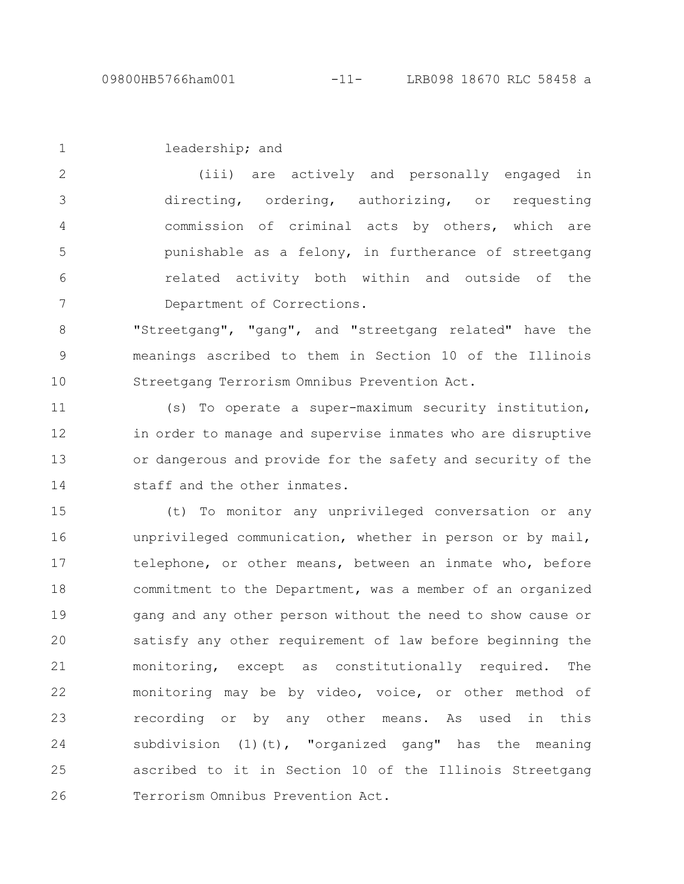leadership; and 1

(iii) are actively and personally engaged in directing, ordering, authorizing, or requesting commission of criminal acts by others, which are punishable as a felony, in furtherance of streetgang related activity both within and outside of the Department of Corrections. 2 3 4 5 6 7

"Streetgang", "gang", and "streetgang related" have the meanings ascribed to them in Section 10 of the Illinois Streetgang Terrorism Omnibus Prevention Act. 8 9 10

(s) To operate a super-maximum security institution, in order to manage and supervise inmates who are disruptive or dangerous and provide for the safety and security of the staff and the other inmates. 11 12 13 14

(t) To monitor any unprivileged conversation or any unprivileged communication, whether in person or by mail, telephone, or other means, between an inmate who, before commitment to the Department, was a member of an organized gang and any other person without the need to show cause or satisfy any other requirement of law before beginning the monitoring, except as constitutionally required. The monitoring may be by video, voice, or other method of recording or by any other means. As used in this subdivision  $(1)(t)$ , "organized gang" has the meaning ascribed to it in Section 10 of the Illinois Streetgang Terrorism Omnibus Prevention Act. 15 16 17 18 19 20 21 22 23 24 25 26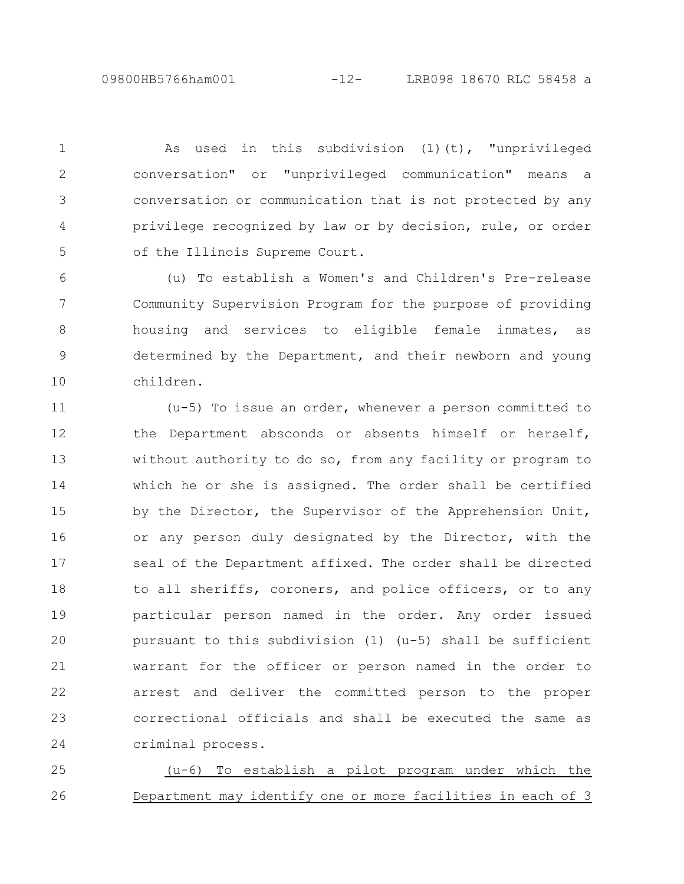09800HB5766ham001 -12- LRB098 18670 RLC 58458 a

As used in this subdivision (1)(t), "unprivileged conversation" or "unprivileged communication" means a conversation or communication that is not protected by any privilege recognized by law or by decision, rule, or order of the Illinois Supreme Court. 1 2 3 4 5

(u) To establish a Women's and Children's Pre-release Community Supervision Program for the purpose of providing housing and services to eligible female inmates, as determined by the Department, and their newborn and young children. 6 7 8 9 10

(u-5) To issue an order, whenever a person committed to the Department absconds or absents himself or herself, without authority to do so, from any facility or program to which he or she is assigned. The order shall be certified by the Director, the Supervisor of the Apprehension Unit, or any person duly designated by the Director, with the seal of the Department affixed. The order shall be directed to all sheriffs, coroners, and police officers, or to any particular person named in the order. Any order issued pursuant to this subdivision (1) (u-5) shall be sufficient warrant for the officer or person named in the order to arrest and deliver the committed person to the proper correctional officials and shall be executed the same as criminal process. 11 12 13 14 15 16 17 18 19 20 21 22 23 24

(u-6) To establish a pilot program under which the Department may identify one or more facilities in each of 3 25 26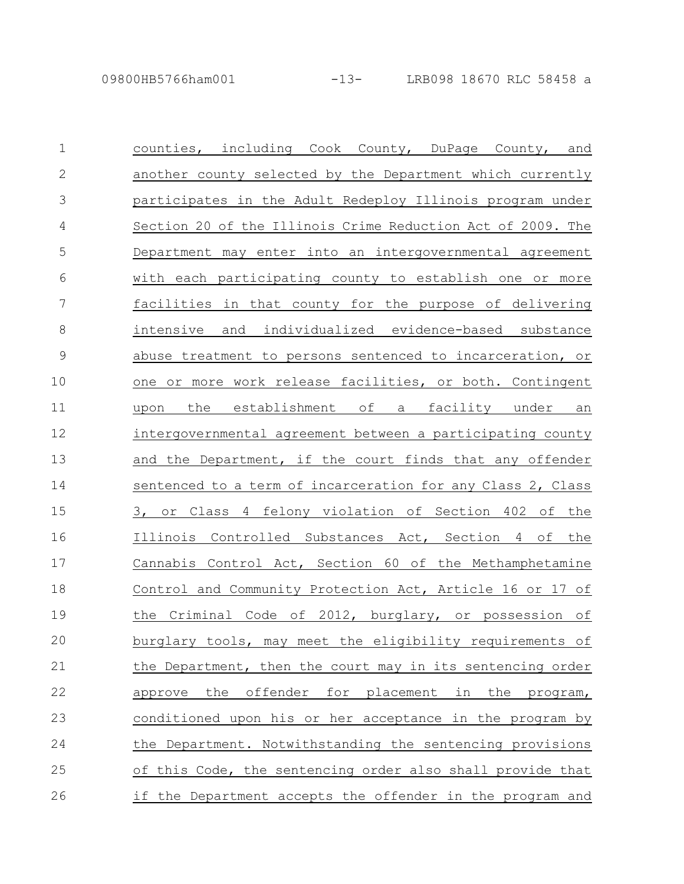| $\mathbf 1$  | counties, including Cook County, DuPage County, and          |
|--------------|--------------------------------------------------------------|
| $\mathbf{2}$ | another county selected by the Department which currently    |
| 3            | participates in the Adult Redeploy Illinois program under    |
| 4            | Section 20 of the Illinois Crime Reduction Act of 2009. The  |
| 5            | Department may enter into an intergovernmental agreement     |
| 6            | with each participating county to establish one or more      |
| 7            | facilities in that county for the purpose of delivering      |
| $8\,$        | intensive and individualized evidence-based substance        |
| 9            | abuse treatment to persons sentenced to incarceration, or    |
| 10           | one or more work release facilities, or both. Contingent     |
| 11           | establishment of<br>the<br>facility under<br>a<br>upon<br>an |
| 12           | intergovernmental agreement between a participating county   |
| 13           | and the Department, if the court finds that any offender     |
| 14           | sentenced to a term of incarceration for any Class 2, Class  |
| 15           | 3, or Class 4 felony violation of Section 402 of the         |
| 16           | Illinois Controlled Substances Act, Section 4 of the         |
| 17           | Cannabis Control Act, Section 60 of the Methamphetamine      |
| 18           | Control and Community Protection Act, Article 16 or 17 of    |
| 19           | the Criminal Code of 2012, burglary, or possession of        |
| 20           | burglary tools, may meet the eligibility requirements of     |
| 21           | the Department, then the court may in its sentencing order   |
| 22           | the offender for placement in the<br>approve<br>program,     |
| 23           | conditioned upon his or her acceptance in the program by     |
| 24           | the Department. Notwithstanding the sentencing provisions    |
| 25           | of this Code, the sentencing order also shall provide that   |
| 26           | if the Department accepts the offender in the program and    |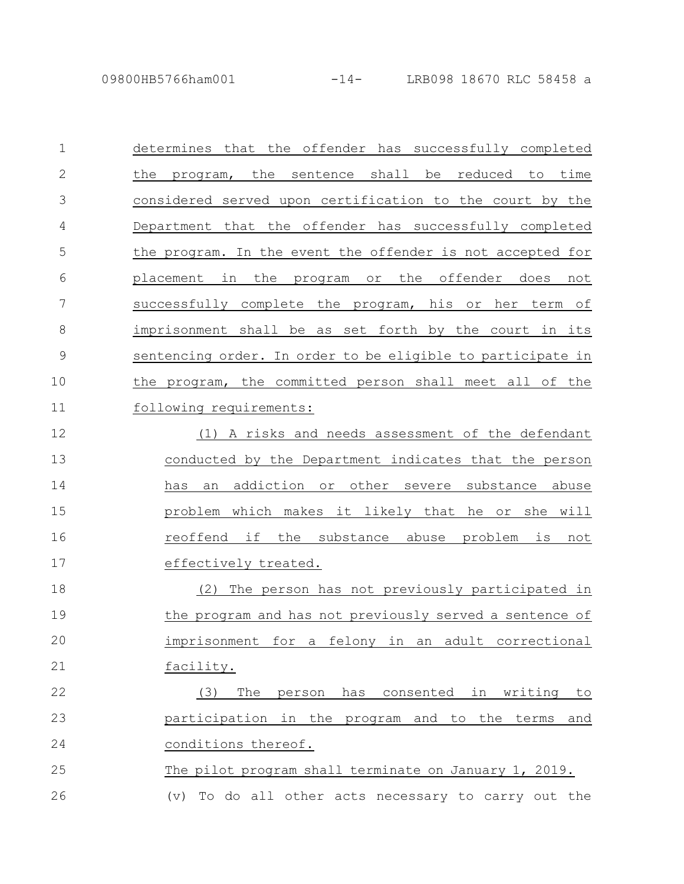| $\mathbf{1}$  | determines that the offender has successfully completed            |
|---------------|--------------------------------------------------------------------|
| $\mathbf{2}$  | the program, the sentence shall be reduced to time                 |
| 3             | considered served upon certification to the court by the           |
| 4             | Department that the offender has successfully completed            |
| 5             | the program. In the event the offender is not accepted for         |
| 6             | placement in the program or the offender does not                  |
| 7             | successfully complete the program, his or her term of              |
| 8             | imprisonment shall be as set forth by the court in its             |
| $\mathcal{G}$ | sentencing order. In order to be eligible to participate in        |
| 10            | the program, the committed person shall meet all of the            |
| 11            | following requirements:                                            |
| 12            | (1) A risks and needs assessment of the defendant                  |
| 13            | conducted by the Department indicates that the person              |
| 14            | addiction<br>other<br>has<br>or<br>severe substance<br>abuse<br>an |
| 15            | problem which makes it likely that he or she will                  |
| 16            | reoffend if the substance abuse problem is not                     |
| 17            | effectively treated.                                               |
| 18            | The person has not previously participated in<br>(2)               |
| 19            | the program and has not previously served a sentence of            |
| 20            | imprisonment for a felony in an adult correctional                 |
| 21            | facility.                                                          |
| 22            | The<br>has consented in writing<br>(3)<br>person<br>to             |
| 23            | participation in the program and to the terms<br>and               |
| 24            | conditions thereof.                                                |
| 25            | The pilot program shall terminate on January 1, 2019.              |
|               |                                                                    |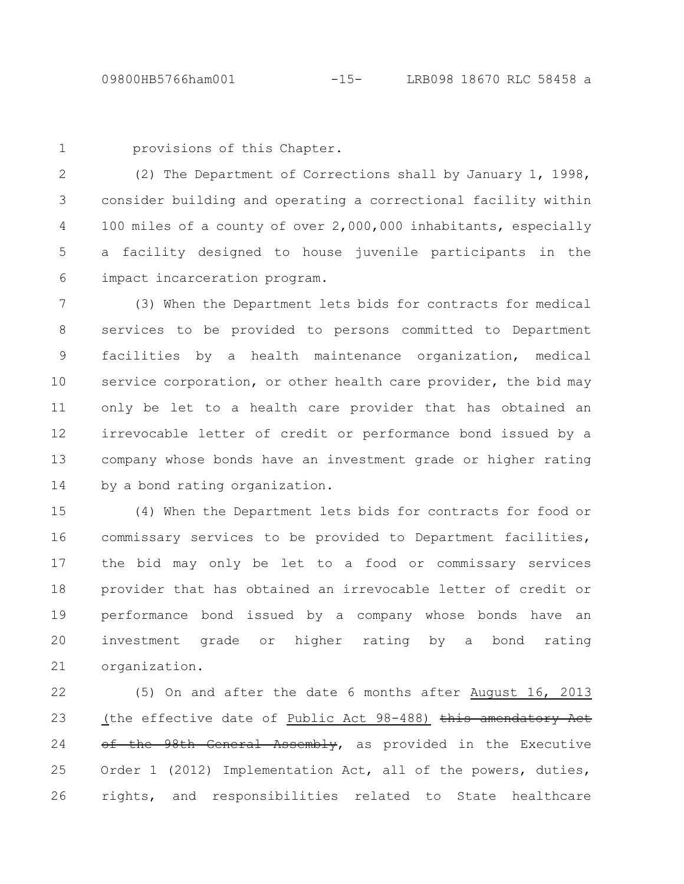1

provisions of this Chapter.

(2) The Department of Corrections shall by January 1, 1998, consider building and operating a correctional facility within 100 miles of a county of over 2,000,000 inhabitants, especially a facility designed to house juvenile participants in the impact incarceration program. 2 3 4 5 6

(3) When the Department lets bids for contracts for medical services to be provided to persons committed to Department facilities by a health maintenance organization, medical service corporation, or other health care provider, the bid may only be let to a health care provider that has obtained an irrevocable letter of credit or performance bond issued by a company whose bonds have an investment grade or higher rating by a bond rating organization. 7 8 9 10 11 12 13 14

(4) When the Department lets bids for contracts for food or commissary services to be provided to Department facilities, the bid may only be let to a food or commissary services provider that has obtained an irrevocable letter of credit or performance bond issued by a company whose bonds have an investment grade or higher rating by a bond rating organization. 15 16 17 18 19 20 21

(5) On and after the date 6 months after August 16, 2013 (the effective date of Public Act 98-488) this amendatory Act of the 98th General Assembly, as provided in the Executive Order 1 (2012) Implementation Act, all of the powers, duties, rights, and responsibilities related to State healthcare 22 23 24 25 26